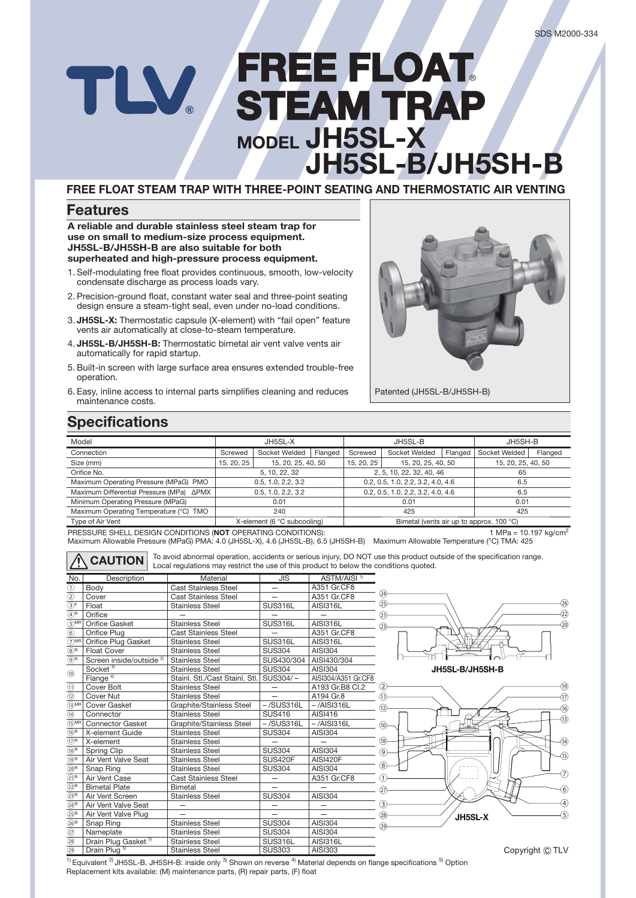# **FREE FLOAT REE** ® TLV **STEAM TRAP MODEL JH5SL-X JH5SL-B/JH5SH-B**

### **FREE FLOAT STEAM TRAP WITH THREE-POINT SEATING AND THERMOSTATIC AIR VENTING**

### **Features**

**A reliable and durable stainless steel steam trap for use on small to medium-size process equipment. JH5SL-B/JH5SH-B are also suitable for both superheated and high-pressure process equipment.**

- 1. Self-modulating free float provides continuous, smooth, low-velocity condensate discharge as process loads vary.
- 2. Precision-ground float, constant water seal and three-point seating design ensure a steam-tight seal, even under no-load conditions.
- 3. **JH5SL-X:** Thermostatic capsule (X-element) with "fail open" feature vents air automatically at close-to-steam temperature.
- 4. **JH5SL-B/JH5SH-B:** Thermostatic bimetal air vent valve vents air automatically for rapid startup.
- 5. Built-in screen with large surface area ensures extended trouble-free operation.
- 6. Easy, inline access to internal parts simplifies cleaning and reduces maintenance costs.



Patented (JH5SL-B/JH5SH-B)

## **Specifications**

| Model                                           | JH5SL-X                          |                          |                                          | JH5SL-B                           |                    |         | JH5SH-B       |         |
|-------------------------------------------------|----------------------------------|--------------------------|------------------------------------------|-----------------------------------|--------------------|---------|---------------|---------|
| Connection                                      | Screwed                          | Socket Welded<br>Flanged |                                          | Screwed                           | Socket Welded      | Flanged | Socket Welded | Flanged |
| Size (mm)                                       | 15, 20, 25<br>15, 20, 25, 40, 50 |                          | 15, 20, 25, 40, 50<br>15, 20, 25         |                                   | 15, 20, 25, 40, 50 |         |               |         |
| Orifice No.                                     | 5, 10, 22, 32                    |                          |                                          | 2, 5, 10, 22, 32, 40, 46          |                    |         | 65            |         |
| Maximum Operating Pressure (MPaG) PMO           | 0.5, 1.0, 2.2, 3.2               |                          |                                          | 0.2, 0.5, 1.0, 2.2, 3.2, 4.0, 4.6 |                    |         | 6.5           |         |
| Maximum Differential Pressure (MPa) ΔPMX        | 0.5, 1.0, 2.2, 3.2               |                          |                                          | 0.2, 0.5, 1.0, 2.2, 3.2, 4.0, 4.6 |                    |         | 6.5           |         |
| Minimum Operating Pressure (MPaG)               | 0.01                             |                          |                                          | 0.01                              |                    |         | 0.01          |         |
| Maximum Operating Temperature (°C) TMO          | 240                              |                          |                                          | 425                               |                    |         | 425           |         |
| X-element (6 °C subcooling)<br>Type of Air Vent |                                  |                          | Bimetal (vents air up to approx. 100 °C) |                                   |                    |         |               |         |

PRESSURE SHELL DESIGN CONDITIONS (NOT OPERATING CONDITIONS): 1 MPa = 10.197 kg/cm<sup>2</sup>

Maximum Allowable Pressure (MPaG) PMA: 4.0 (JH5SL-X), 4.6 (JH5SL-B), 6.5 (JH5SH-B) Maximum Allowable Temperature (°C) TMA: 425

CAUTION  $\vert$  <sup>To avoid abnormal operation, accidents or serious injury, DO NOT use this product outside of the specification range.<br>
Local regulations may restrict the use of this product to below the conditions quoted.</sup>

| No.<br>Description         |                                     | Material                       | <b>JIS</b>    | ASTM/AISI <sup>1)</sup> |  |  |
|----------------------------|-------------------------------------|--------------------------------|---------------|-------------------------|--|--|
| $^{\circ}$                 | Body                                | <b>Cast Stainless Steel</b>    |               | A351 Gr.CF8             |  |  |
| $^{\circledR}$             | Cover                               | <b>Cast Stainless Steel</b>    |               | A351 Gr.CF8             |  |  |
| $\overline{3}$ F           | Float                               | <b>Stainless Steel</b>         | SUS316L       | <b>AISI316L</b>         |  |  |
| $\circled{4}^{\mathsf{R}}$ | Orifice                             |                                |               |                         |  |  |
| $(5)$ MR                   | Orifice Gasket                      | <b>Stainless Steel</b>         | SUS316L       | AISI316L                |  |  |
| $\overline{6}$             | Orifice Plug                        | <b>Cast Stainless Steel</b>    |               | A351 Gr.CF8             |  |  |
| $(7)$ MR                   | Orifice Plug Gasket                 | <b>Stainless Steel</b>         | SUS316L       | AISI316L                |  |  |
| $(8)$ R                    | <b>Float Cover</b>                  | <b>Stainless Steel</b>         | <b>SUS304</b> | AISI304                 |  |  |
| $\circledS^{\mathsf{R}}$   | Screen inside/outside <sup>2)</sup> | <b>Stainless Steel</b>         | SUS430/304    | AISI430/304             |  |  |
|                            | Socket <sup>3)</sup>                | <b>Stainless Steel</b>         | <b>SUS304</b> | AISI304                 |  |  |
| (1)                        | Flange <sup>4)</sup>                | Stainl. Stl./Cast Stainl. Stl. | SUS304/-      | AISI304/A351 Gr.CF8     |  |  |
| $\circled{1}$              | Cover Bolt                          | <b>Stainless Steel</b>         |               | A193 Gr.B8 Cl.2         |  |  |
| $\circled{12}$             | <b>Cover Nut</b>                    | <b>Stainless Steel</b>         |               | A194 Gr.8               |  |  |
| $(13)$ MR                  | Cover Gasket                        | Graphite/Stainless Steel       | $-$ /SUS316L  | $-$ /AISI316L           |  |  |
| (14)                       | Connector                           | <b>Stainless Steel</b>         | <b>SUS416</b> | AISI416                 |  |  |
| $(15)$ MR                  | <b>Connector Gasket</b>             | Graphite/Stainless Steel       | $-$ /SUS316L  | $-$ /AISI316L           |  |  |
| (16)R                      | X-element Guide                     | <b>Stainless Steel</b>         | <b>SUS304</b> | AISI304                 |  |  |
| $(17)$ R                   | X-element                           | <b>Stainless Steel</b>         |               |                         |  |  |
| (18)R                      | Spring Clip                         | <b>Stainless Steel</b>         | <b>SUS304</b> | AISI304                 |  |  |
| (19)R                      | Air Vent Valve Seat                 | <b>Stainless Steel</b>         |               | AISI420F                |  |  |
| $(20)$ R                   | Snap Ring                           | <b>Stainless Steel</b>         | <b>SUS304</b> | AISI304                 |  |  |
| $(2)$ R                    | Air Vent Case                       | <b>Cast Stainless Steel</b>    |               | A351 Gr.CF8             |  |  |
| (22)R                      | <b>Bimetal Plate</b>                | Bimetal                        |               |                         |  |  |
| (23)R                      | Air Vent Screen                     | <b>Stainless Steel</b>         | <b>SUS304</b> | AISI304                 |  |  |
| (24)R                      | Air Vent Valve Seat                 |                                |               |                         |  |  |
| (25)R                      | Air Vent Valve Plug                 |                                |               |                         |  |  |
| (26)R                      | Snap Ring                           | <b>Stainless Steel</b>         | <b>SUS304</b> | AISI304                 |  |  |
| $\circled{2}$              | Nameplate                           | <b>Stainless Steel</b>         | <b>SUS304</b> | AISI304                 |  |  |
| (28)                       | Drain Plug Gasket <sup>5)</sup>     | <b>Stainless Steel</b>         | SUS316L       | <b>AISI316L</b>         |  |  |
| $\overline{29}$            | Drain Plug <sup>5</sup>             | <b>Stainless Steel</b>         | <b>SUS303</b> | AISI303                 |  |  |





copyright  $\cup$  TLV

<sup>1)</sup> Equivalent <sup>2)</sup> JH5SL-B, JH5SH-B: inside only <sup>3)</sup> Shown on reverse <sup>4)</sup> Material depends on flange specifications <sup>5)</sup> Option Replacement kits available: (M) maintenance parts, (R) repair parts, (F) float